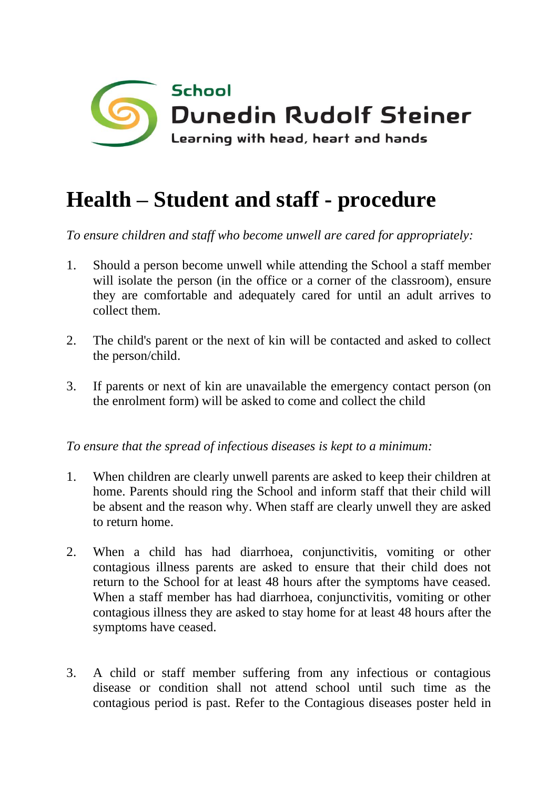

## **Health – Student and staff - procedure**

*To ensure children and staff who become unwell are cared for appropriately:*

- 1. Should a person become unwell while attending the School a staff member will isolate the person (in the office or a corner of the classroom), ensure they are comfortable and adequately cared for until an adult arrives to collect them.
- 2. The child's parent or the next of kin will be contacted and asked to collect the person/child.
- 3. If parents or next of kin are unavailable the emergency contact person (on the enrolment form) will be asked to come and collect the child

*To ensure that the spread of infectious diseases is kept to a minimum:*

- 1. When children are clearly unwell parents are asked to keep their children at home. Parents should ring the School and inform staff that their child will be absent and the reason why. When staff are clearly unwell they are asked to return home.
- 2. When a child has had diarrhoea, conjunctivitis, vomiting or other contagious illness parents are asked to ensure that their child does not return to the School for at least 48 hours after the symptoms have ceased. When a staff member has had diarrhoea, conjunctivitis, vomiting or other contagious illness they are asked to stay home for at least 48 hours after the symptoms have ceased.
- 3. A child or staff member suffering from any infectious or contagious disease or condition shall not attend school until such time as the contagious period is past. Refer to the Contagious diseases poster held in